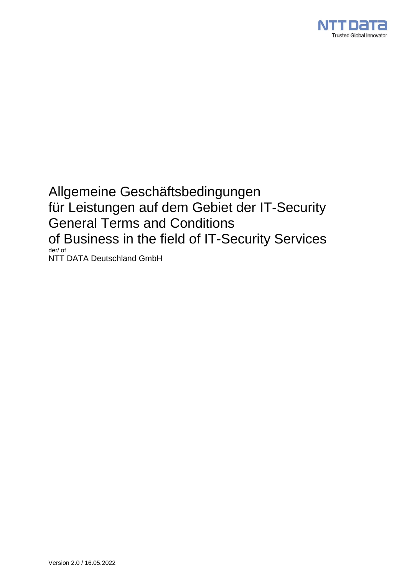

Allgemeine Geschäftsbedingungen für Leistungen auf dem Gebiet der IT-Security General Terms and Conditions of Business in the field of IT-Security Services der/ of NTT DATA Deutschland GmbH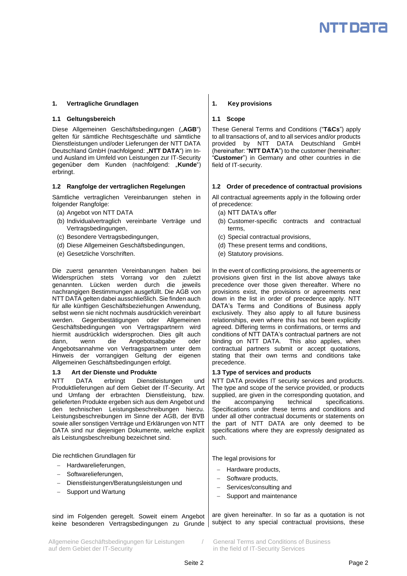## **1. Vertragliche Grundlagen 1. Key provisions**

## **1.1 Geltungsbereich 1.1 Scope**

Diese Allgemeinen Geschäftsbedingungen ("AGB") gelten für sämtliche Rechtsgeschäfte und sämtliche Dienstleistungen und/oder Lieferungen der NTT DATA Deutschland GmbH (nachfolgend: "NTT DATA") im Inund Ausland im Umfeld von Leistungen zur IT-Security gegenüber dem Kunden (nachfolgend: "**Kunde**") erbringt.

Sämtliche vertraglichen Vereinbarungen stehen in folgender Rangfolge:

- (a) Angebot von NTT DATA
- (b) Individualvertraglich vereinbarte Verträge und Vertragsbedingungen,
- (c) Besondere Vertragsbedingungen,
- (d) Diese Allgemeinen Geschäftsbedingungen,
- (e) Gesetzliche Vorschriften.

Die zuerst genannten Vereinbarungen haben bei Widersprüchen stets Vorrang vor den zuletzt genannten. Lücken werden durch die jeweils nachrangigen Bestimmungen ausgefüllt. Die AGB von NTT DATA gelten dabei ausschließlich. Sie finden auch für alle künftigen Geschäftsbeziehungen Anwendung, selbst wenn sie nicht nochmals ausdrücklich vereinbart werden. Gegenbestätigungen oder Allgemeinen Geschäftsbedingungen von Vertragspartnern wird hiermit ausdrücklich widersprochen. Dies gilt auch dann, wenn die Angebotsabgabe oder Angebotsannahme von Vertragspartnern unter dem Hinweis der vorrangigen Geltung der eigenen Allgemeinen Geschäftsbedingungen erfolgt.

## **1.3 Art der Dienste und Produkte 1.3 Type of services and products**

NTT DATA erbringt Dienstleistungen und Produktlieferungen auf dem Gebiet der IT-Security. Art und Umfang der erbrachten Dienstleistung, bzw. gelieferten Produkte ergeben sich aus dem Angebot und den technischen Leistungsbeschreibungen hierzu. Leistungsbeschreibungen im Sinne der AGB, der BVB sowie aller sonstigen Verträge und Erklärungen von NTT DATA sind nur diejenigen Dokumente, welche explizit als Leistungsbeschreibung bezeichnet sind.

Die rechtlichen Grundlagen für

- Hardwarelieferungen.
- Softwarelieferungen,
- Dienstleistungen/Beratungsleistungen und
- Support und Wartung

sind im Folgenden geregelt. Soweit einem Angebot keine besonderen Vertragsbedingungen zu Grunde

Allgemeine Geschäftsbedingungen für Leistungen / General Terms and Conditions of Business auf dem Gebiet der IT-Security in the field of IT-Security Services

These General Terms and Conditions ("**T&Cs**") apply to all transactions of, and to all services and/or products provided by NTT DATA Deutschland GmbH (hereinafter: "**NTT DATA**") to the customer (hereinafter: "**Customer**") in Germany and other countries in die field of IT-security.

## **1.2 Rangfolge der vertraglichen Regelungen 1.2 Order of precedence of contractual provisions**

All contractual agreements apply in the following order of precedence:

- (a) NTT DATA's offer
- (b) Customer-specific contracts and contractual terms,
- (c) Special contractual provisions,
- (d) These present terms and conditions,
- (e) Statutory provisions.

In the event of conflicting provisions, the agreements or provisions given first in the list above always take precedence over those given thereafter. Where no provisions exist, the provisions or agreements next down in the list in order of precedence apply. NTT DATA's Terms and Conditions of Business apply exclusively. They also apply to all future business relationships, even where this has not been explicitly agreed. Differing terms in confirmations, or terms and conditions of NTT DATA's contractual partners are not binding on NTT DATA. This also applies, when contractual partners submit or accept quotations, stating that their own terms and conditions take precedence.

NTT DATA provides IT security services and products. The type and scope of the service provided, or products supplied, are given in the corresponding quotation, and the accompanying technical specifications. Specifications under these terms and conditions and under all other contractual documents or statements on the part of NTT DATA are only deemed to be specifications where they are expressly designated as such.

The legal provisions for

- Hardware products,
- Software products,
- Services/consulting and
- Support and maintenance

are given hereinafter. In so far as a quotation is not subject to any special contractual provisions, these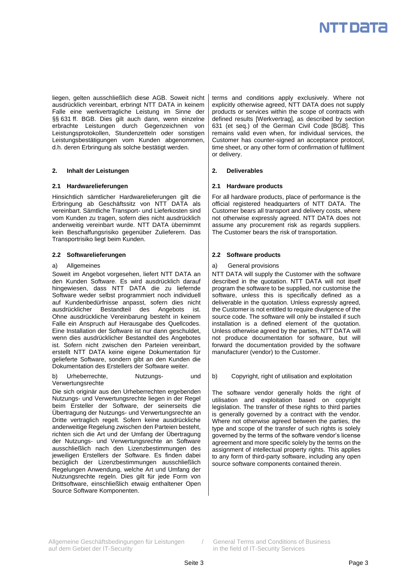

liegen, gelten ausschließlich diese AGB. Soweit nicht ausdrücklich vereinbart, erbringt NTT DATA in keinem Falle eine werkvertragliche Leistung im Sinne der §§ 631 ff. BGB. Dies gilt auch dann, wenn einzelne erbrachte Leistungen durch Gegenzeichnen von Leistungsprotokollen, Stundenzetteln oder sonstigen Leistungsbestätigungen vom Kunden abgenommen, d.h. deren Erbringung als solche bestätigt werden.

## **2. Inhalt der Leistungen 2. Deliverables**

## **2.1 Hardwarelieferungen 2.1 Hardware products**

Hinsichtlich sämtlicher Hardwarelieferungen gilt die Erbringung ab Geschäftssitz von NTT DATA als vereinbart. Sämtliche Transport- und Lieferkosten sind vom Kunden zu tragen, sofern dies nicht ausdrücklich anderweitig vereinbart wurde. NTT DATA übernimmt kein Beschaffungsrisiko gegenüber Zulieferern. Das Transportrisiko liegt beim Kunden.

## **2.2 Softwarelieferungen 2.2 Software products**

## a) Allgemeines

Soweit im Angebot vorgesehen, liefert NTT DATA an den Kunden Software. Es wird ausdrücklich darauf hingewiesen, dass NTT DATA die zu liefernde Software weder selbst programmiert noch individuell auf Kundenbedürfnisse anpasst, sofern dies nicht ausdrücklicher Bestandteil des Angebots ist. Ohne ausdrückliche Vereinbarung besteht in keinem Falle ein Anspruch auf Herausgabe des Quellcodes. Eine Installation der Software ist nur dann geschuldet, wenn dies ausdrücklicher Bestandteil des Angebotes ist. Sofern nicht zwischen den Parteien vereinbart, erstellt NTT DATA keine eigene Dokumentation für gelieferte Software, sondern gibt an den Kunden die Dokumentation des Erstellers der Software weiter.

Urheberrechte, Nutzungs- und Verwertungsrechte

Die sich originär aus den Urheberrechten ergebenden Nutzungs- und Verwertungsrechte liegen in der Regel beim Ersteller der Software, der seinerseits die Übertragung der Nutzungs- und Verwertungsrechte an Dritte vertraglich regelt. Sofern keine ausdrückliche anderweitige Regelung zwischen den Parteien besteht, richten sich die Art und der Umfang der Übertragung der Nutzungs- und Verwertungsrechte an Software ausschließlich nach den Lizenzbestimmungen des jeweiligen Erstellers der Software. Es finden dabei bezüglich der Lizenzbestimmungen ausschließlich Regelungen Anwendung, welche Art und Umfang der Nutzungsrechte regeln. Dies gilt für jede Form von Drittsoftware, einschließlich etwaig enthaltener Open Source Software Komponenten.

terms and conditions apply exclusively. Where not explicitly otherwise agreed, NTT DATA does not supply products or services within the scope of contracts with defined results [Werkvertrag], as described by section 631 (et seq.) of the German Civil Code [BGB]. This remains valid even when, for individual services, the Customer has counter-signed an acceptance protocol, time sheet, or any other form of confirmation of fulfilment or delivery.

For all hardware products, place of performance is the official registered headquarters of NTT DATA. The Customer bears all transport and delivery costs, where not otherwise expressly agreed. NTT DATA does not assume any procurement risk as regards suppliers. The Customer bears the risk of transportation.

## a) General provisions

NTT DATA will supply the Customer with the software described in the quotation. NTT DATA will not itself program the software to be supplied, nor customise the software, unless this is specifically defined as a deliverable in the quotation. Unless expressly agreed, the Customer is not entitled to require divulgence of the source code. The software will only be installed if such installation is a defined element of the quotation. Unless otherwise agreed by the parties, NTT DATA will not produce documentation for software, but will forward the documentation provided by the software manufacturer (vendor) to the Customer.

b) Copyright, right of utilisation and exploitation

The software vendor generally holds the right of utilisation and exploitation based on copyright legislation. The transfer of these rights to third parties is generally governed by a contract with the vendor. Where not otherwise agreed between the parties, the type and scope of the transfer of such rights is solely governed by the terms of the software vendor's license agreement and more specific solely by the terms on the assignment of intellectual property rights. This applies to any form of third-party software, including any open source software components contained therein.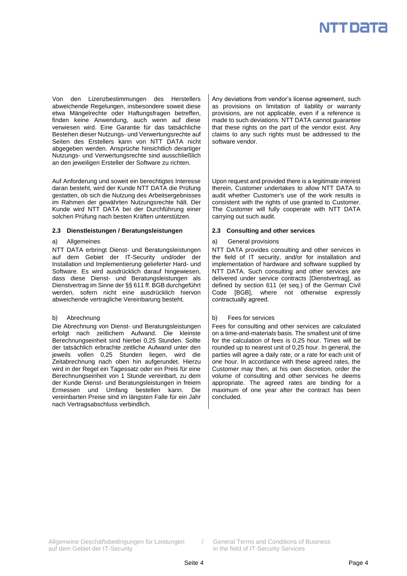

Von den Lizenzbestimmungen des Herstellers abweichende Regelungen, insbesondere soweit diese etwa Mängelrechte oder Haftungsfragen betreffen, finden keine Anwendung, auch wenn auf diese verwiesen wird. Eine Garantie für das tatsächliche Bestehen dieser Nutzungs- und Verwertungsrechte auf Seiten des Erstellers kann von NTT DATA nicht abgegeben werden. Ansprüche hinsichtlich derartiger Nutzungs- und Verwertungsrechte sind ausschließlich an den jeweiligen Ersteller der Software zu richten.

Auf Anforderung und soweit ein berechtigtes Interesse daran besteht, wird der Kunde NTT DATA die Prüfung gestatten, ob sich die Nutzung des Arbeitsergebnisses im Rahmen der gewährten Nutzungsrechte hält. Der Kunde wird NTT DATA bei der Durchführung einer solchen Prüfung nach besten Kräften unterstützen.

## **2.3 Dienstleistungen / Beratungsleistungen 2.3 Consulting and other services**

## a) Allgemeines

NTT DATA erbringt Dienst- und Beratungsleistungen auf dem Gebiet der IT-Security und/oder der Installation und Implementierung gelieferter Hard- und Software. Es wird ausdrücklich darauf hingewiesen, dass diese Dienst- und Beratungsleistungen als Dienstvertrag im Sinne der §§ 611 ff. BGB durchgeführt werden, sofern nicht eine ausdrücklich hiervon abweichende vertragliche Vereinbarung besteht.

## b) Abrechnung

Die Abrechnung von Dienst- und Beratungsleistungen erfolgt nach zeitlichem Aufwand. Die kleinste Berechnungseinheit sind hierbei 0,25 Stunden. Sollte der tatsächlich erbrachte zeitliche Aufwand unter den jeweils vollen 0,25 Stunden liegen, wird die Zeitabrechnung nach oben hin aufgerundet. Hierzu wird in der Regel ein Tagessatz oder ein Preis für eine Berechnungseinheit von 1 Stunde vereinbart, zu dem der Kunde Dienst- und Beratungsleistungen in freiem Ermessen und Umfang bestellen kann. Die vereinbarten Preise sind im längsten Falle für ein Jahr nach Vertragsabschluss verbindlich.

Any deviations from vendor's license agreement, such as provisions on limitation of liability or warranty provisions, are not applicable, even if a reference is made to such deviations. NTT DATA cannot guarantee that these rights on the part of the vendor exist. Any claims to any such rights must be addressed to the software vendor.

Upon request and provided there is a legitimate interest therein, Customer undertakes to allow NTT DATA to audit whether Customer's use of the work results is consistent with the rights of use granted to Customer. The Customer will fully cooperate with NTT DATA carrying out such audit.

## a) General provisions

NTT DATA provides consulting and other services in the field of IT security, and/or for installation and implementation of hardware and software supplied by NTT DATA. Such consulting and other services are delivered under service contracts [Dienstvertrag], as defined by section 611 (et seq.) of the German Civil Code [BGB], where not otherwise expressly contractually agreed.

## b) Fees for services

Fees for consulting and other services are calculated on a time-and-materials basis. The smallest unit of time for the calculation of fees is 0,25 hour. Times will be rounded up to nearest unit of 0,25 hour. In general, the parties will agree a daily rate, or a rate for each unit of one hour. In accordance with these agreed rates, the Customer may then, at his own discretion, order the volume of consulting and other services he deems appropriate. The agreed rates are binding for a maximum of one year after the contract has been concluded.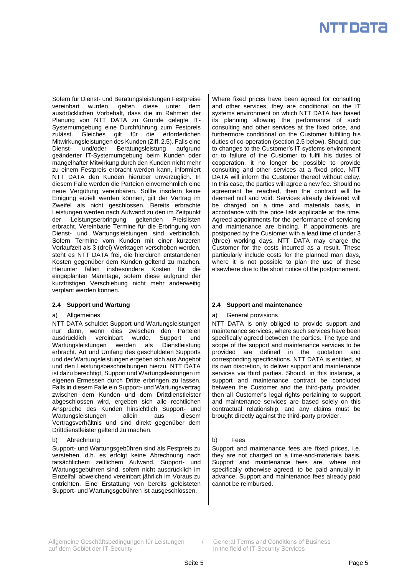Sofern für Dienst- und Beratungsleistungen Festpreise vereinbart wurden, gelten diese unter dem ausdrücklichen Vorbehalt, dass die im Rahmen der Planung von NTT DATA zu Grunde gelegte IT-Systemumgebung eine Durchführung zum Festpreis zulässt. Gleiches gilt für die erforderlichen Mitwirkungsleistungen des Kunden (Ziff. 2.5). Falls eine Dienst- und/oder Beratungsleistung aufgrund geänderter IT-Systemumgebung beim Kunden oder mangelhafter Mitwirkung durch den Kunden nicht mehr zu einem Festpreis erbracht werden kann, informiert NTT DATA den Kunden hierüber unverzüglich. In diesem Falle werden die Parteien einvernehmlich eine neue Vergütung vereinbaren. Sollte insofern keine Einigung erzielt werden können, gilt der Vertrag im Zweifel als nicht geschlossen. Bereits erbrachte Leistungen werden nach Aufwand zu den im Zeitpunkt der Leistungserbringung geltenden Preislisten erbracht. Vereinbarte Termine für die Erbringung von Dienst- und Wartungsleistungen sind verbindlich. Sofern Termine vom Kunden mit einer kürzeren Vorlaufzeit als 3 (drei) Werktagen verschoben werden, steht es NTT DATA frei, die hierdurch entstandenen Kosten gegenüber dem Kunden geltend zu machen. Hierunter fallen insbesondere Kosten für die eingeplanten Manntage, sofern diese aufgrund der kurzfristigen Verschiebung nicht mehr anderweitig verplant werden können.

## a) Allgemeines

NTT DATA schuldet Support und Wartungsleistungen nur dann, wenn dies zwischen den Parteien ausdrücklich vereinbart wurde. Support und Wartungsleistungen werden als Dienstleistung erbracht. Art und Umfang des geschuldeten Supports und der Wartungsleistungen ergeben sich aus Angebot und den Leistungsbeschreibungen hierzu. NTT DATA ist dazu berechtigt, Support und Wartungsleistungen im eigenen Ermessen durch Dritte erbringen zu lassen. Falls in diesem Falle ein Support- und Wartungsvertrag zwischen dem Kunden und dem Drittdienstleister abgeschlossen wird, ergeben sich alle rechtlichen Ansprüche des Kunden hinsichtlich Support- und Wartungsleistungen allein aus diesem Vertragsverhältnis und sind direkt gegenüber dem Drittdienstleister geltend zu machen.

## b) Abrechnung

Support- und Wartungsgebühren sind als Festpreis zu verstehen, d.h. es erfolgt keine Abrechnung nach tatsächlichem zeitlichem Aufwand. Support- und Wartungsgebühren sind, sofern nicht ausdrücklich im Einzelfall abweichend vereinbart jährlich im Voraus zu entrichten. Eine Erstattung von bereits geleisteten Support- und Wartungsgebühren ist ausgeschlossen.

Where fixed prices have been agreed for consulting and other services, they are conditional on the IT systems environment on which NTT DATA has based its planning allowing the performance of such consulting and other services at the fixed price, and furthermore conditional on the Customer fulfilling his duties of co-operation (section 2.5 below). Should, due to changes to the Customer's IT systems environment or to failure of the Customer to fulfil his duties of cooperation, it no longer be possible to provide consulting and other services at a fixed price, NTT DATA will inform the Customer thereof without delay. In this case, the parties will agree a new fee. Should no agreement be reached, then the contract will be deemed null and void. Services already delivered will be charged on a time and materials basis, in accordance with the price lists applicable at the time. Agreed appointments for the performance of servicing and maintenance are binding. If appointments are postponed by the Customer with a lead time of under 3 (three) working days, NTT DATA may charge the Customer for the costs incurred as a result. These particularly include costs for the planned man days, where it is not possible to plan the use of these elsewhere due to the short notice of the postponement.

## **2.4 Support und Wartung 2.4 Support and maintenance**

## a) General provisions

NTT DATA is only obliged to provide support and maintenance services, where such services have been specifically agreed between the parties. The type and scope of the support and maintenance services to be provided are defined in the quotation and corresponding specifications. NTT DATA is entitled, at its own discretion, to deliver support and maintenance services via third parties. Should, in this instance, a support and maintenance contract be concluded between the Customer and the third-party provider, then all Customer's legal rights pertaining to support and maintenance services are based solely on this contractual relationship, and any claims must be brought directly against the third-party provider.

## b) Fees

Support and maintenance fees are fixed prices, i.e. they are not charged on a time-and-materials basis. Support and maintenance fees are, where not specifically otherwise agreed, to be paid annually in advance. Support and maintenance fees already paid cannot be reimbursed.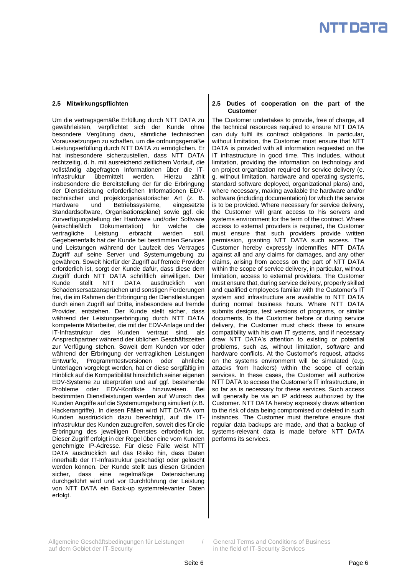Um die vertragsgemäße Erfüllung durch NTT DATA zu gewährleisten, verpflichtet sich der Kunde ohne besondere Vergütung dazu, sämtliche technischen Voraussetzungen zu schaffen, um die ordnungsgemäße Leistungserfüllung durch NTT DATA zu ermöglichen. Er hat insbesondere sicherzustellen, dass NTT DATA rechtzeitig, d. h. mit ausreichend zeitlichem Vorlauf, die vollständig abgefragten Informationen über die IT-Infrastruktur übermittelt werden. Hierzu zählt insbesondere die Bereitstellung der für die Erbringung der Dienstleistung erforderlichen Informationen EDVtechnischer und projektorganisatorischer Art (z. B. Hardware und Betriebssysteme, eingesetzte Standardsoftware, Organisationspläne) sowie ggf. die Zurverfügungstellung der Hardware und/oder Software (einschließlich Dokumentation) für welche die vertragliche Leistung erbracht werden soll. Gegebenenfalls hat der Kunde bei bestimmten Services und Leistungen während der Laufzeit des Vertrages Zugriff auf seine Server und Systemumgebung zu gewähren. Soweit hierfür der Zugriff auf fremde Provider erforderlich ist, sorgt der Kunde dafür, dass diese dem Zugriff durch NTT DATA schriftlich einwilligen. Der Kunde stellt NTT DATA ausdrücklich von Schadensersatzansprüchen und sonstigen Forderungen frei, die im Rahmen der Erbringung der Dienstleistungen durch einen Zugriff auf Dritte, insbesondere auf fremde Provider, entstehen. Der Kunde stellt sicher, dass während der Leistungserbringung durch NTT DATA kompetente Mitarbeiter, die mit der EDV-Anlage und der IT-Infrastruktur des Kunden vertraut sind, als Ansprechpartner während der üblichen Geschäftszeiten zur Verfügung stehen. Soweit dem Kunden vor oder während der Erbringung der vertraglichen Leistungen Entwürfe, Programmtestversionen oder ähnliche Unterlagen vorgelegt werden, hat er diese sorgfältig im Hinblick auf die Kompatibilität hinsichtlich seiner eigenen EDV-Systeme zu überprüfen und auf ggf. bestehende Probleme oder EDV-Konflikte hinzuweisen. Bei bestimmten Dienstleistungen werden auf Wunsch des Kunden Angriffe auf die Systemumgebung simuliert (z.B. Hackerangriffe). In diesen Fällen wird NTT DATA vom Kunden ausdrücklich dazu berechtigt, auf die IT-Infrastruktur des Kunden zuzugreifen, soweit dies für die Erbringung des jeweiligen Dienstes erforderlich ist. Dieser Zugriff erfolgt in der Regel über eine vom Kunden genehmigte IP-Adresse. Für diese Fälle weist NTT DATA ausdrücklich auf das Risiko hin, dass Daten innerhalb der IT-Infrastruktur geschädigt oder gelöscht werden können. Der Kunde stellt aus diesen Gründen sicher, dass eine regelmäßige Datensicherung durchgeführt wird und vor Durchführung der Leistung von NTT DATA ein Back-up systemrelevanter Daten erfolgt.

## **2.5 Mitwirkungspflichten 2.5 Duties of cooperation on the part of the Customer**

The Customer undertakes to provide, free of charge, all the technical resources required to ensure NTT DATA can duly fulfil its contract obligations. In particular, without limitation, the Customer must ensure that NTT DATA is provided with all information requested on the IT infrastructure in good time. This includes, without limitation, providing the information on technology and on project organization required for service delivery (e. g. without limitation, hardware and operating systems, standard software deployed, organizational plans) and, where necessary, making available the hardware and/or software (including documentation) for which the service is to be provided. Where necessary for service delivery, the Customer will grant access to his servers and systems environment for the term of the contract. Where access to external providers is required, the Customer must ensure that such providers provide written permission, granting NTT DATA such access. The Customer hereby expressly indemnifies NTT DATA against all and any claims for damages, and any other claims, arising from access on the part of NTT DATA within the scope of service delivery, in particular, without limitation, access to external providers. The Customer must ensure that, during service delivery, properly skilled and qualified employees familiar with the Customer's IT system and infrastructure are available to NTT DATA during normal business hours. Where NTT DATA submits designs, test versions of programs, or similar documents, to the Customer before or during service delivery, the Customer must check these to ensure compatibility with his own IT systems, and if necessary draw NTT DATA's attention to existing or potential problems, such as, without limitation, software and hardware conflicts. At the Customer's request, attacks on the systems environment will be simulated (e.g. attacks from hackers) within the scope of certain services. In these cases, the Customer will authorize NTT DATA to access the Customer's IT infrastructure, in so far as is necessary for these services. Such access will generally be via an IP address authorized by the Customer. NTT DATA hereby expressly draws attention to the risk of data being compromised or deleted in such instances. The Customer must therefore ensure that regular data backups are made, and that a backup of systems-relevant data is made before NTT DATA performs its services.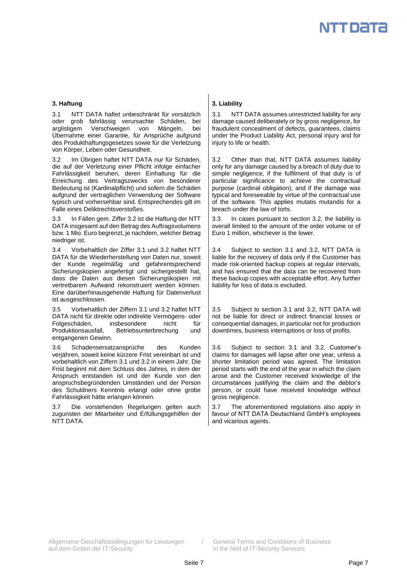

3.1 NTT DATA haftet unbeschränkt für vorsätzlich oder grob fahrlässig verursachte Schäden, bei arglistigem Verschweigen von Mängeln, bei Übernahme einer Garantie, für Ansprüche aufgrund des Produkthaftungsgesetzes sowie für die Verletzung von Körper, Leben oder Gesundheit.

3.2 Im Übrigen haftet NTT DATA nur für Schäden, die auf der Verletzung einer Pflicht infolge einfacher Fahrlässigkeit beruhen, deren Einhaltung für die Erreichung des Vertragszwecks von besonderer Bedeutung ist (Kardinalpflicht) und sofern die Schäden aufgrund der vertraglichen Verwendung der Software typisch und vorhersehbar sind. Entsprechendes gilt im Falle eines Deliktrechtsverstoßes.

3.3 In Fällen gem. Ziffer 3.2 ist die Haftung der NTT DATA insgesamt auf den Betrag des Auftragsvolumens bzw. 1 Mio. Euro begrenzt, je nachdem, welcher Betrag niedriger ist.

3.4 Vorbehaltlich der Ziffer 3.1 und 3.2 haftet NTT DATA für die Wiederherstellung von Daten nur, soweit der Kunde regelmäßig und gefahrentsprechend Sicherungskopien angefertigt und sichergestellt hat, dass die Daten aus diesen Sicherungskopien mit vertretbarem Aufwand rekonstruiert werden können. Eine darüberhinausgehende Haftung für Datenverlust ist ausgeschlossen.

3.5 Vorbehaltlich der Ziffern 3.1 und 3.2 haftet NTT DATA nicht für direkte oder indirekte Vermögens- oder Folgeschäden, insbesondere nicht für Produktionsausfall, Betriebsunterbrechung und entgangenen Gewinn.

3.6 Schadensersatzansprüche des Kunden verjähren, soweit keine kürzere Frist vereinbart ist und vorbehaltlich von Ziffern 3.1 und 3.2 in einem Jahr. Die Frist beginnt mit dem Schluss des Jahres, in dem der Anspruch entstanden ist und der Kunde von den anspruchsbegründenden Umständen und der Person des Schuldners Kenntnis erlangt oder ohne grobe Fahrlässigkeit hätte erlangen können.

Die vorstehenden Regelungen gelten auch zugunsten der Mitarbeiter und Erfüllungsgehilfen der NTT DATA.

## **3. Haftung 3. Liability**

3.1 NTT DATA assumes unrestricted liability for any damage caused deliberately or by gross negligence, for fraudulent concealment of defects, guarantees, claims under the Product Liability Act, personal injury and for injury to life or health.

3.2 Other than that, NTT DATA assumes liability only for any damage caused by a breach of duty due to simple negligence, if the fulfilment of that duty is of particular significance to achieve the contractual purpose (cardinal obligation), and if the damage was typical and foreseeable by virtue of the contractual use of the software. This applies mutatis mutandis for a breach under the law of torts.

3.3 In cases pursuant to section 3.2, the liability is overall limited to the amount of the order volume or of Euro 1 million, whichever is the lower.

3.4 Subject to section 3.1 and 3.2, NTT DATA is liable for the recovery of data only if the Customer has made risk-oriented backup copies at regular intervals, and has ensured that the data can be recovered from these backup copies with acceptable effort. Any further liability for loss of data is excluded.

3.5 Subject to section 3.1 and 3.2, NTT DATA will not be liable for direct or indirect financial losses or consequential damages, in particular not for production downtimes, business interruptions or loss of profits.

3.6 Subject to section 3.1 and 3.2, Customer's claims for damages will lapse after one year, unless a shorter limitation period was agreed. The limitation period starts with the end of the year in which the claim arose and the Customer received knowledge of the circumstances justifying the claim and the debtor's person, or could have received knowledge without gross negligence.

3.7 The aforementioned regulations also apply in favour of NTT DATA Deutschland GmbH's employees and vicarious agents.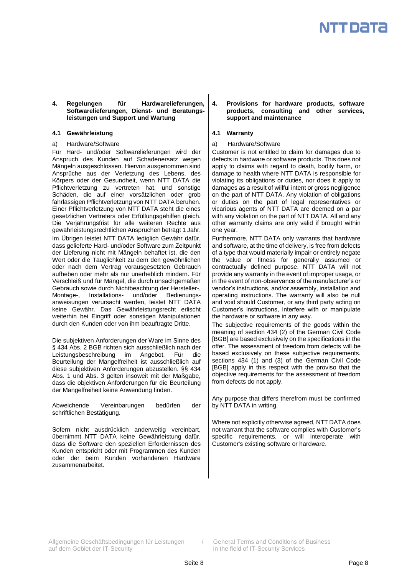## **4. Regelungen für Hardwarelieferungen, Softwarelieferungen, Dienst- und Beratungsleistungen und Support und Wartung**

## **4.1 Gewährleistung 4.1 Warranty**

a) Hardware/Software

Für Hard- und/oder Softwarelieferungen wird der Anspruch des Kunden auf Schadenersatz wegen Mängeln ausgeschlossen. Hiervon ausgenommen sind Ansprüche aus der Verletzung des Lebens, des Körpers oder der Gesundheit, wenn NTT DATA die Pflichtverletzung zu vertreten hat, und sonstige Schäden, die auf einer vorsätzlichen oder grob fahrlässigen Pflichtverletzung von NTT DATA beruhen. Einer Pflichtverletzung von NTT DATA steht die eines gesetzlichen Vertreters oder Erfüllungsgehilfen gleich. Die Verjährungsfrist für alle weiteren Rechte aus gewährleistungsrechtlichen Ansprüchen beträgt 1 Jahr. Im Übrigen leistet NTT DATA lediglich Gewähr dafür, dass gelieferte Hard- und/oder Software zum Zeitpunkt der Lieferung nicht mit Mängeln behaftet ist, die den Wert oder die Tauglichkeit zu dem den gewöhnlichen oder nach dem Vertrag vorausgesetzten Gebrauch aufheben oder mehr als nur unerheblich mindern. Für Verschleiß und für Mängel, die durch unsachgemäßen Gebrauch sowie durch Nichtbeachtung der Hersteller-,<br>Montage-, Installations- und/oder Bedienungs-Installations- und/oder Bedienungsanweisungen verursacht werden, leistet NTT DATA keine Gewähr. Das Gewährleistungsrecht erlischt weiterhin bei Eingriff oder sonstigen Manipulationen durch den Kunden oder von ihm beauftragte Dritte.

Die subjektiven Anforderungen der Ware im Sinne des § 434 Abs. 2 BGB richten sich ausschließlich nach der Leistungsbeschreibung im Angebot. Für die Beurteilung der Mangelfreiheit ist ausschließlich auf diese subjektiven Anforderungen abzustellen. §§ 434 Abs. 1 und Abs. 3 gelten insoweit mit der Maßgabe, dass die objektiven Anforderungen für die Beurteilung der Mangelfreiheit keine Anwendung finden.

Abweichende Vereinbarungen bedürfen der schriftlichen Bestätigung.

Sofern nicht ausdrücklich anderweitig vereinbart, übernimmt NTT DATA keine Gewährleistung dafür, dass die Software den speziellen Erfordernissen des Kunden entspricht oder mit Programmen des Kunden oder der beim Kunden vorhandenen Hardware zusammenarbeitet.

## **4. Provisions for hardware products, software products, consulting and other services, support and maintenance**

a) Hardware/Software

Customer is not entitled to claim for damages due to defects in hardware or software products. This does not apply to claims with regard to death, bodily harm, or damage to health where NTT DATA is responsible for violating its obligations or duties, nor does it apply to damages as a result of willful intent or gross negligence on the part of NTT DATA. Any violation of obligations or duties on the part of legal representatives or vicarious agents of NTT DATA are deemed on a par with any violation on the part of NTT DATA. All and any other warranty claims are only valid if brought within one year.

Furthermore, NTT DATA only warrants that hardware and software, at the time of delivery, is free from defects of a type that would materially impair or entirely negate the value or fitness for generally assumed or contractually defined purpose. NTT DATA will not provide any warranty in the event of improper usage, or in the event of non-observance of the manufacturer's or vendor's instructions, and/or assembly, installation and operating instructions. The warranty will also be null and void should Customer, or any third party acting on Customer's instructions, interfere with or manipulate the hardware or software in any way.

The subjective requirements of the goods within the meaning of section 434 (2) of the German Civil Code [BGB] are based exclusively on the specifications in the offer. The assessment of freedom from defects will be based exclusively on these subjective requirements. sections 434 (1) and (3) of the German Civil Code [BGB] apply in this respect with the proviso that the objective requirements for the assessment of freedom from defects do not apply.

Any purpose that differs therefrom must be confirmed by NTT DATA in writing.

Where not explicitly otherwise agreed, NTT DATA does not warrant that the software complies with Customer's specific requirements, or will interoperate with Customer's existing software or hardware.

Allgemeine Geschäftsbedingungen für Leistungen / General Terms and Conditions of Business auf dem Gebiet der IT-Security in the field of IT-Security Services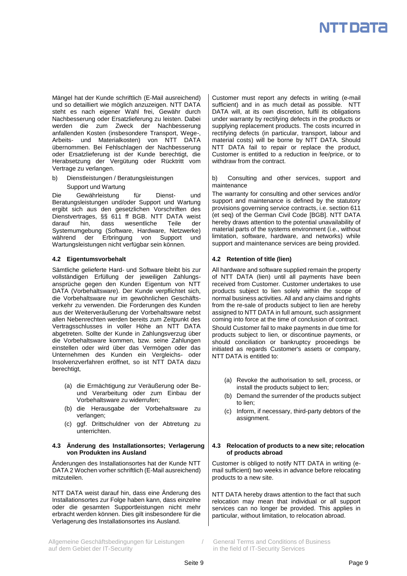

Mängel hat der Kunde schriftlich (E-Mail ausreichend) und so detailliert wie möglich anzuzeigen. NTT DATA steht es nach eigener Wahl frei, Gewähr durch Nachbesserung oder Ersatzlieferung zu leisten. Dabei werden die zum Zweck der Nachbesserung anfallenden Kosten (insbesondere Transport, Wege-, Arbeits- und Materialkosten) von NTT DATA übernommen. Bei Fehlschlagen der Nachbesserung oder Ersatzlieferung ist der Kunde berechtigt, die Herabsetzung der Vergütung oder Rücktritt vom Vertrage zu verlangen.

b) Dienstleistungen / Beratungsleistungen Support und Wartung

Die Gewährleistung für Dienst- und Beratungsleistungen und/oder Support und Wartung ergibt sich aus den gesetzlichen Vorschriften des Dienstvertrages, §§ 611 ff BGB. NTT DATA weist darauf hin, dass wesentliche Teile der Systemumgebung (Software, Hardware, Netzwerke) während der Erbringung von Support und Wartungsleistungen nicht verfügbar sein können.

Sämtliche gelieferte Hard- und Software bleibt bis zur vollständigen Erfüllung der jeweiligen Zahlungsansprüche gegen den Kunden Eigentum von NTT DATA (Vorbehaltsware). Der Kunde verpflichtet sich, die Vorbehaltsware nur im gewöhnlichen Geschäftsverkehr zu verwenden. Die Forderungen des Kunden aus der Weiterveräußerung der Vorbehaltsware nebst allen Nebenrechten werden bereits zum Zeitpunkt des Vertragsschlusses in voller Höhe an NTT DATA abgetreten. Sollte der Kunde in Zahlungsverzug über die Vorbehaltsware kommen, bzw. seine Zahlungen einstellen oder wird über das Vermögen oder das Unternehmen des Kunden ein Vergleichs- oder Insolvenzverfahren eröffnet, so ist NTT DATA dazu berechtigt,

- (a) die Ermächtigung zur Veräußerung oder Beund Verarbeitung oder zum Einbau der Vorbehaltsware zu widerrufen;
- (b) die Herausgabe der Vorbehaltsware zu verlangen;
- (c) ggf. Drittschuldner von der Abtretung zu unterrichten.

## **4.3 Änderung des Installationsortes; Verlagerung von Produkten ins Ausland**

Änderungen des Installationsortes hat der Kunde NTT DATA 2 Wochen vorher schriftlich (E-Mail ausreichend) mitzuteilen.

NTT DATA weist darauf hin, dass eine Änderung des Installationsortes zur Folge haben kann, dass einzelne oder die gesamten Supportleistungen nicht mehr erbracht werden können. Dies gilt insbesondere für die Verlagerung des Installationsortes ins Ausland.

Allgemeine Geschäftsbedingungen für Leistungen / General Terms and Conditions of Business auf dem Gebiet der IT-Security in the field of IT-Security Services

Customer must report any defects in writing (e-mail sufficient) and in as much detail as possible. NTT DATA will, at its own discretion, fulfil its obligations under warranty by rectifying defects in the products or supplying replacement products. The costs incurred in rectifying defects (in particular, transport, labour and material costs) will be borne by NTT DATA. Should NTT DATA fail to repair or replace the product, Customer is entitled to a reduction in fee/price, or to withdraw from the contract.

b) Consulting and other services, support and maintenance

The warranty for consulting and other services and/or support and maintenance is defined by the statutory provisions governing service contracts, i.e. section 611 (et seq) of the German Civil Code [BGB]. NTT DATA hereby draws attention to the potential unavailability of material parts of the systems environment (i.e., without limitation, software, hardware, and networks) while support and maintenance services are being provided.

## **4.2 Eigentumsvorbehalt 4.2 Retention of title (lien)**

All hardware and software supplied remain the property of NTT DATA (lien) until all payments have been received from Customer. Customer undertakes to use products subject to lien solely within the scope of normal business activities. All and any claims and rights from the re-sale of products subject to lien are hereby assigned to NTT DATA in full amount, such assignment coming into force at the time of conclusion of contract. Should Customer fail to make payments in due time for

products subject to lien, or discontinue payments, or should conciliation or bankruptcy proceedings be initiated as regards Customer's assets or company, NTT DATA is entitled to:

- (a) Revoke the authorisation to sell, process, or install the products subject to lien;
- (b) Demand the surrender of the products subject to lien;
- (c) Inform, if necessary, third-party debtors of the assignment.

## **4.3 Relocation of products to a new site; relocation of products abroad**

Customer is obliged to notify NTT DATA in writing (email sufficient) two weeks in advance before relocating products to a new site.

NTT DATA hereby draws attention to the fact that such relocation may mean that individual or all support services can no longer be provided. This applies in particular, without limitation, to relocation abroad.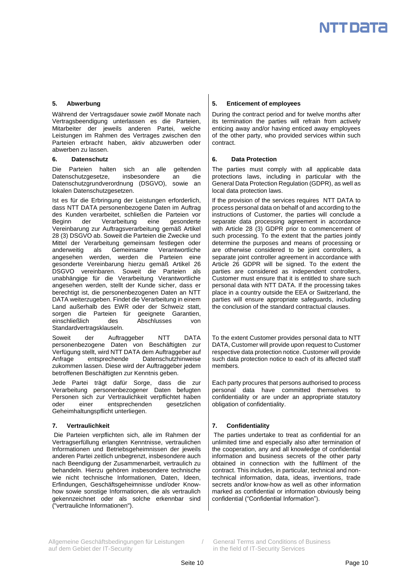Während der Vertragsdauer sowie zwölf Monate nach Vertragsbeendigung unterlassen es die Parteien, Mitarbeiter der jeweils anderen Partei, welche Leistungen im Rahmen des Vertrages zwischen den Parteien erbracht haben, aktiv abzuwerben oder abwerben zu lassen.

Die Parteien halten sich an alle geltenden Datenschutzgesetze, insbesondere an die Datenschutzgrundverordnung (DSGVO), sowie an lokalen Datenschutzgesetzen.

Ist es für die Erbringung der Leistungen erforderlich, dass NTT DATA personenbezogene Daten im Auftrag des Kunden verarbeitet, schließen die Parteien vor Beginn der Verarbeitung eine gesonderte Vereinbarung zur Auftragsverarbeitung gemäß Artikel 28 (3) DSGVO ab. Soweit die Parteien die Zwecke und Mittel der Verarbeitung gemeinsam festlegen oder<br>anderweitig als Gemeinsame Verantwortliche Verantwortliche angesehen werden, werden die Parteien eine gesonderte Vereinbarung hierzu gemäß Artikel 26 DSGVO vereinbaren. Soweit die Parteien als unabhängige für die Verarbeitung Verantwortliche angesehen werden, stellt der Kunde sicher, dass er berechtigt ist, die personenbezogenen Daten an NTT DATA weiterzugeben. Findet die Verarbeitung in einem Land außerhalb des EWR oder der Schweiz statt, sorgen die Parteien für geeignete Garantien, einschließlich des Abschlusses von Standardvertragsklauseln.

Soweit der Auftraggeber NTT DATA personenbezogene Daten von Beschäftigten zur Verfügung stellt, wird NTT DATA dem Auftraggeber auf Anfrage entsprechende Datenschutzhinweise zukommen lassen. Diese wird der Auftraggeber jedem betroffenen Beschäftigten zur Kenntnis geben.

Jede Partei trägt dafür Sorge, dass die zur Verarbeitung personenbezogener Daten befugten Personen sich zur Vertraulichkeit verpflichtet haben oder einer entsprechenden gesetzlichen Geheimhaltungspflicht unterliegen.

## **7. Vertraulichkeit**

Die Parteien verpflichten sich, alle im Rahmen der Vertragserfüllung erlangten Kenntnisse, vertraulichen Informationen und Betriebsgeheimnissen der jeweils anderen Partei zeitlich unbegrenzt, insbesondere auch nach Beendigung der Zusammenarbeit, vertraulich zu behandeln. Hierzu gehören insbesondere technische wie nicht technische Informationen, Daten, Ideen, Erfindungen, Geschäftsgeheimnisse und/oder Knowhow sowie sonstige Informationen, die als vertraulich gekennzeichnet oder als solche erkennbar sind ("vertrauliche Informationen").

## **5. Abwerbung 5. Enticement of employees**

During the contract period and for twelve months after its termination the parties will refrain from actively enticing away and/or having enticed away employees of the other party, who provided services within such contract.

## **6. Datenschutz 6. Data Protection**

The parties must comply with all applicable data protections laws, including in particular with the General Data Protection Regulation (GDPR), as well as local data protection laws.

If the provision of the services requires NTT DATA to process personal data on behalf of and according to the instructions of Customer, the parties will conclude a separate data processing agreement in accordance with Article 28 (3) GDPR prior to commencement of such processing. To the extent that the parties jointly determine the purposes and means of processing or are otherwise considered to be joint controllers, a separate joint controller agreement in accordance with Article 26 GDPR will be signed. To the extent the parties are considered as independent controllers, Customer must ensure that it is entitled to share such personal data with NTT DATA. If the processing takes place in a country outside the EEA or Switzerland, the parties will ensure appropriate safeguards, including the conclusion of the standard contractual clauses.

To the extent Customer provides personal data to NTT DATA, Customer will provide upon request to Customer respective data protection notice. Customer will provide such data protection notice to each of its affected staff members.

Each party procures that persons authorised to process personal data have committed themselves to confidentiality or are under an appropriate statutory obligation of confidentiality.

## **7. Confidentiality**

The parties undertake to treat as confidential for an unlimited time and especially also after termination of the cooperation, any and all knowledge of confidential information and business secrets of the other party obtained in connection with the fulfilment of the contract. This includes, in particular, technical and nontechnical information, data, ideas, inventions, trade secrets and/or know-how as well as other information marked as confidential or information obviously being confidential ("Confidential Information").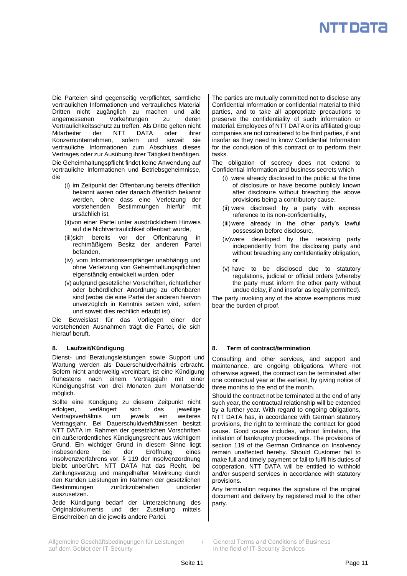

Die Parteien sind gegenseitig verpflichtet, sämtliche vertraulichen Informationen und vertrauliches Material Dritten nicht zugänglich zu machen und alle angemessenen Vorkehrungen zu deren Vertraulichkeitsschutz zu treffen. Als Dritte gelten nicht Mitarbeiter der NTT DATA oder ihrer Konzernunternehmen, sofern und soweit sie vertrauliche Informationen zum Abschluss dieses Vertrages oder zur Ausübung ihrer Tätigkeit benötigen. Die Geheimhaltungspflicht findet keine Anwendung auf vertrauliche Informationen und Betriebsgeheimnisse, die

- (i) im Zeitpunkt der Offenbarung bereits öffentlich bekannt waren oder danach öffentlich bekannt werden, ohne dass eine Verletzung der vorstehenden Bestimmungen hierfür mit ursächlich ist,
- (ii)von einer Partei unter ausdrücklichem Hinweis auf die Nichtvertraulichkeit offenbart wurde,
- (iii)sich bereits vor der Offenbarung in rechtmäßigem Besitz der anderen Partei befanden,
- (iv) vom Informationsempfänger unabhängig und ohne Verletzung von Geheimhaltungspflichten eigenständig entwickelt wurden, oder
- (v) aufgrund gesetzlicher Vorschriften, richterlicher oder behördlicher Anordnung zu offenbaren sind (wobei die eine Partei der anderen hiervon unverzüglich in Kenntnis setzen wird, sofern und soweit dies rechtlich erlaubt ist).

Die Beweislast für das Vorliegen einer der vorstehenden Ausnahmen trägt die Partei, die sich hierauf beruft.

Dienst- und Beratungsleistungen sowie Support und Wartung werden als Dauerschuldverhältnis erbracht. Sofern nicht anderweitig vereinbart, ist eine Kündigung frühestens nach einem Vertragsjahr mit einer Kündigungsfrist von drei Monaten zum Monatsende möglich.

Sollte eine Kündigung zu diesem Zeitpunkt nicht erfolgen, verlängert sich das jeweilige Vertragsverhältnis um jeweils ein weiteres Vertragsjahr. Bei Dauerschuldverhältnissen besitzt NTT DATA im Rahmen der gesetzlichen Vorschriften ein außerordentliches Kündigungsrecht aus wichtigem Grund. Ein wichtiger Grund in diesem Sinne liegt insbesondere bei der Eröffnung eines Insolvenzverfahrens vor. § 119 der Insolvenzordnung bleibt unberührt. NTT DATA hat das Recht, bei Zahlungsverzug und mangelhafter Mitwirkung durch den Kunden Leistungen im Rahmen der gesetzlichen Bestimmungen zurückzubehalten und/oder auszusetzen.

Jede Kündigung bedarf der Unterzeichnung des Originaldokuments und der Zustellung mittels Einschreiben an die jeweils andere Partei.

The parties are mutually committed not to disclose any Confidential Information or confidential material to third parties, and to take all appropriate precautions to preserve the confidentiality of such information or material. Employees of NTT DATA or its affiliated group companies are not considered to be third parties, if and insofar as they need to know Confidential Information for the conclusion of this contract or to perform their tasks.

The obligation of secrecy does not extend to Confidential Information and business secrets which

- (i) were already disclosed to the public at the time of disclosure or have become publicly known after disclosure without breaching the above provisions being a contributory cause,
- (ii) were disclosed by a party with express reference to its non-confidentiality,
- (iii)were already in the other party's lawful possession before disclosure,
- (iv)were developed by the receiving party independently from the disclosing party and without breaching any confidentiality obligation, or
- (v) have to be disclosed due to statutory regulations, judicial or official orders (whereby the party must inform the other party without undue delay, if and insofar as legally permitted).

The party invoking any of the above exemptions must bear the burden of proof.

## **8. Laufzeit/Kündigung 8. Term of contract/termination**

Consulting and other services, and support and maintenance, are ongoing obligations. Where not otherwise agreed, the contract can be terminated after one contractual year at the earliest, by giving notice of three months to the end of the month.

Should the contract not be terminated at the end of any such year, the contractual relationship will be extended by a further year. With regard to ongoing obligations, NTT DATA has, in accordance with German statutory provisions, the right to terminate the contract for good cause. Good cause includes, without limitation, the initiation of bankruptcy proceedings. The provisions of section 119 of the German Ordinance on Insolvency remain unaffected hereby. Should Customer fail to make full and timely payment or fail to fulfil his duties of cooperation, NTT DATA will be entitled to withhold and/or suspend services in accordance with statutory provisions.

Any termination requires the signature of the original document and delivery by registered mail to the other party.

Allgemeine Geschäftsbedingungen für Leistungen / General Terms and Conditions of Business auf dem Gebiet der IT-Security in the field of IT-Security Services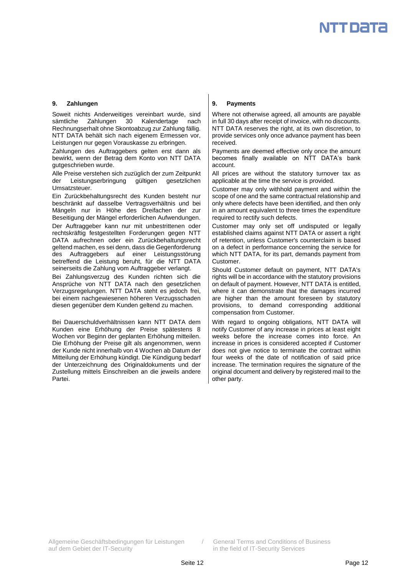## **9. Zahlungen 9. Payments**

Soweit nichts Anderweitiges vereinbart wurde, sind sämtliche Zahlungen 30 Kalendertage nach Rechnungserhalt ohne Skontoabzug zur Zahlung fällig. NTT DATA behält sich nach eigenem Ermessen vor, Leistungen nur gegen Vorauskasse zu erbringen.

Zahlungen des Auftraggebers gelten erst dann als bewirkt, wenn der Betrag dem Konto von NTT DATA gutgeschrieben wurde.

Alle Preise verstehen sich zuzüglich der zum Zeitpunkt<br>der Leistungserbringung gültigen gesetzlichen der Leistungserbringung Umsatzsteuer.

Ein Zurückbehaltungsrecht des Kunden besteht nur beschränkt auf dasselbe Vertragsverhältnis und bei Mängeln nur in Höhe des Dreifachen der zur Beseitigung der Mängel erforderlichen Aufwendungen.

Der Auftraggeber kann nur mit unbestrittenen oder rechtskräftig festgestellten Forderungen gegen NTT DATA aufrechnen oder ein Zurückbehaltungsrecht geltend machen, es sei denn, dass die Gegenforderung des Auftraggebers auf einer Leistungsstörung betreffend die Leistung beruht, für die NTT DATA seinerseits die Zahlung vom Auftraggeber verlangt.

Bei Zahlungsverzug des Kunden richten sich die Ansprüche von NTT DATA nach den gesetzlichen Verzugsregelungen. NTT DATA steht es jedoch frei, bei einem nachgewiesenen höheren Verzugsschaden diesen gegenüber dem Kunden geltend zu machen.

Bei Dauerschuldverhältnissen kann NTT DATA dem Kunden eine Erhöhung der Preise spätestens 8 Wochen vor Beginn der geplanten Erhöhung mitteilen. Die Erhöhung der Preise gilt als angenommen, wenn der Kunde nicht innerhalb von 4 Wochen ab Datum der Mitteilung der Erhöhung kündigt. Die Kündigung bedarf der Unterzeichnung des Originaldokuments und der Zustellung mittels Einschreiben an die jeweils andere Partei.

Where not otherwise agreed, all amounts are payable in full 30 days after receipt of invoice, with no discounts. NTT DATA reserves the right, at its own discretion, to provide services only once advance payment has been received.

Payments are deemed effective only once the amount becomes finally available on NTT DATA's bank account.

All prices are without the statutory turnover tax as applicable at the time the service is provided.

Customer may only withhold payment and within the scope of one and the same contractual relationship and only where defects have been identified, and then only in an amount equivalent to three times the expenditure required to rectify such defects.

Customer may only set off undisputed or legally established claims against NTT DATA or assert a right of retention, unless Customer's counterclaim is based on a defect in performance concerning the service for which NTT DATA, for its part, demands payment from Customer.

Should Customer default on payment, NTT DATA's rights will be in accordance with the statutory provisions on default of payment. However, NTT DATA is entitled, where it can demonstrate that the damages incurred are higher than the amount foreseen by statutory provisions, to demand corresponding additional compensation from Customer.

With regard to ongoing obligations, NTT DATA will notify Customer of any increase in prices at least eight weeks before the increase comes into force. An increase in prices is considered accepted if Customer does not give notice to terminate the contract within four weeks of the date of notification of said price increase. The termination requires the signature of the original document and delivery by registered mail to the other party.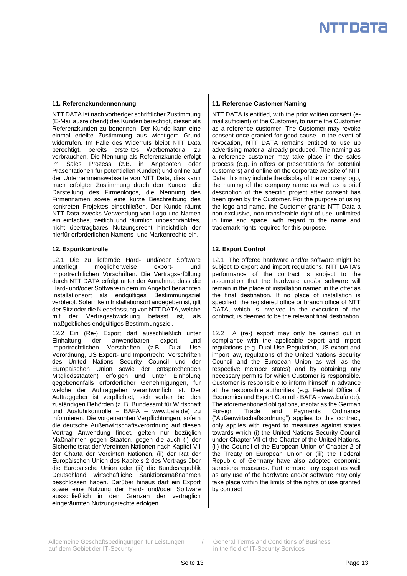

NTT DATA ist nach vorheriger schriftlicher Zustimmung (E-Mail ausreichend) des Kunden berechtigt, diesen als Referenzkunden zu benennen. Der Kunde kann eine einmal erteilte Zustimmung aus wichtigem Grund widerrufen. Im Falle des Widerrufs bleibt NTT Data berechtigt, bereits erstelltes Werbematerial zu verbrauchen. Die Nennung als Referenzkunde erfolgt im Sales Prozess (z.B. in Angeboten oder Präsentationen für potentiellen Kunden) und online auf der Unternehmenswebseite von NTT Data, dies kann nach erfolgter Zustimmung durch den Kunden die Darstellung des Firmenlogos, die Nennung des Firmennamen sowie eine kurze Beschreibung des konkreten Projektes einschließen. Der Kunde räumt NTT Data zwecks Verwendung von Logo und Namen ein einfaches, zeitlich und räumlich unbeschränktes, nicht übertragbares Nutzungsrecht hinsichtlich der hierfür erforderlichen Namens- und Markenrechte ein.

## **12. Exportkontrolle 12. Export Control**

12.1 Die zu liefernde Hard- und/oder Software unterliegt möglicherweise export- und importrechtlichen Vorschriften. Die Vertragserfüllung durch NTT DATA erfolgt unter der Annahme, dass die Hard- und/oder Software in dem im Angebot benannten Installationsort als endgültiges Bestimmungsziel verbleibt. Sofern kein Installationsort angegeben ist, gilt der Sitz oder die Niederlassung von NTT DATA, welche der Vertragsabwicklung befasst ist, als maßgebliches endgültiges Bestimmungsziel.

12.2 Ein (Re-) Export darf ausschließlich unter Einhaltung der anwendbaren export- und importrechtlichen Vorschriften (z.B. Dual Use Verordnung, US Export- und Importrecht, Vorschriften des United Nations Security Council und der Europäischen Union sowie der entsprechenden Mitgliedsstaaten) erfolgen und unter Einholung gegebenenfalls erforderlicher Genehmigungen, für welche der Auftraggeber verantwortlich ist. Der Auftraggeber ist verpflichtet, sich vorher bei den zuständigen Behörden (z. B. Bundesamt für Wirtschaft und Ausfuhrkontrolle – BAFA – www.bafa.de) zu informieren. Die vorgenannten Verpflichtungen, sofern die deutsche Außenwirtschaftsverordnung auf diesen Vertrag Anwendung findet, gelten nur bezüglich Maßnahmen gegen Staaten, gegen die auch (i) der Sicherheitsrat der Vereinten Nationen nach Kapitel VII der Charta der Vereinten Nationen, (ii) der Rat der Europäischen Union des Kapitels 2 des Vertrags über die Europäische Union oder (iii) die Bundesrepublik Deutschland wirtschaftliche Sanktionsmaßnahmen beschlossen haben. Darüber hinaus darf ein Export sowie eine Nutzung der Hard- und/oder Software ausschließlich in den Grenzen der vertraglich eingeräumten Nutzungsrechte erfolgen.

## **11. Referenzkundennennung 11. Reference Customer Naming**

NTT DATA is entitled, with the prior written consent (email sufficient) of the Customer, to name the Customer as a reference customer. The Customer may revoke consent once granted for good cause. In the event of revocation, NTT DATA remains entitled to use up advertising material already produced. The naming as a reference customer may take place in the sales process (e.g. in offers or presentations for potential customers) and online on the corporate website of NTT Data; this may include the display of the company logo, the naming of the company name as well as a brief description of the specific project after consent has been given by the Customer. For the purpose of using the logo and name, the Customer grants NTT Data a non-exclusive, non-transferable right of use, unlimited in time and space, with regard to the name and trademark rights required for this purpose.

12.1 The offered hardware and/or software might be subject to export and import regulations. NTT DATA's performance of the contract is subject to the assumption that the hardware and/or software will remain in the place of installation named in the offer as the final destination. If no place of installation is specified, the registered office or branch office of NTT DATA, which is involved in the execution of the contract, is deemed to be the relevant final destination.

12.2 A (re-) export may only be carried out in compliance with the applicable export and import regulations (e.g. Dual Use Regulation, US export and import law, regulations of the United Nations Security Council and the European Union as well as the respective member states) and by obtaining any necessary permits for which Customer is responsible. Customer is responsible to inform himself in advance at the responsible authorities (e.g. Federal Office of Economics and Export Control - BAFA - www.bafa.de). The aforementioned obligations, insofar as the German Foreign Trade and Payments Ordinance ("Außenwirtschaftsordnung") applies to this contract, only applies with regard to measures against states towards which (i) the United Nations Security Council under Chapter VII of the Charter of the United Nations, (ii) the Council of the European Union of Chapter 2 of the Treaty on European Union or (iii) the Federal Republic of Germany have also adopted economic sanctions measures. Furthermore, any export as well as any use of the hardware and/or software may only take place within the limits of the rights of use granted by contract

Allgemeine Geschäftsbedingungen für Leistungen / General Terms and Conditions of Business auf dem Gebiet der IT-Security in the field of IT-Security Services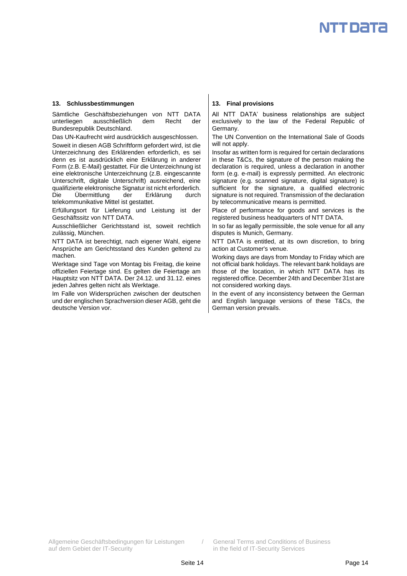## **13. Schlussbestimmungen 13. Final provisions**

Sämtliche Geschäftsbeziehungen von NTT DATA unterliegen ausschließlich dem Recht der Bundesrepublik Deutschland.

Das UN-Kaufrecht wird ausdrücklich ausgeschlossen.

Soweit in diesen AGB Schriftform gefordert wird, ist die Unterzeichnung des Erklärenden erforderlich, es sei denn es ist ausdrücklich eine Erklärung in anderer Form (z.B. E-Mail) gestattet. Für die Unterzeichnung ist eine elektronische Unterzeichnung (z.B. eingescannte Unterschrift, digitale Unterschrift) ausreichend, eine qualifizierte elektronische Signatur ist nicht erforderlich. Die Übermittlung der Erklärung durch telekommunikative Mittel ist gestattet.

Erfüllungsort für Lieferung und Leistung ist der Geschäftssitz von NTT DATA.

Ausschließlicher Gerichtsstand ist, soweit rechtlich zulässig, München.

NTT DATA ist berechtigt, nach eigener Wahl, eigene Ansprüche am Gerichtsstand des Kunden geltend zu machen.

Werktage sind Tage von Montag bis Freitag, die keine offiziellen Feiertage sind. Es gelten die Feiertage am Hauptsitz von NTT DATA. Der 24.12. und 31.12. eines jeden Jahres gelten nicht als Werktage.

Im Falle von Widersprüchen zwischen der deutschen und der englischen Sprachversion dieser AGB, geht die deutsche Version vor.

All NTT DATA' business relationships are subject exclusively to the law of the Federal Republic of Germany.

The UN Convention on the International Sale of Goods will not apply.

Insofar as written form is required for certain declarations in these T&Cs, the signature of the person making the declaration is required, unless a declaration in another form (e.g. e-mail) is expressly permitted. An electronic signature (e.g. scanned signature, digital signature) is sufficient for the signature, a qualified electronic signature is not required. Transmission of the declaration by telecommunicative means is permitted.

Place of performance for goods and services is the registered business headquarters of NTT DATA.

In so far as legally permissible, the sole venue for all any disputes is Munich, Germany.

NTT DATA is entitled, at its own discretion, to bring action at Customer's venue.

Working days are days from Monday to Friday which are not official bank holidays. The relevant bank holidays are those of the location, in which NTT DATA has its registered office. December 24th and December 31st are not considered working days.

In the event of any inconsistency between the German and English language versions of these T&Cs, the German version prevails.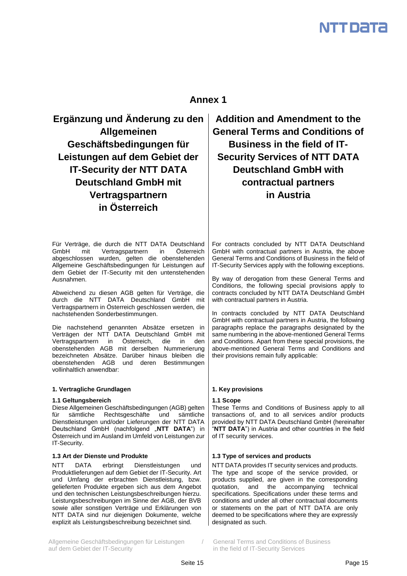## **Annex 1**

**Ergänzung und Änderung zu den Allgemeinen Geschäftsbedingungen für Leistungen auf dem Gebiet der IT-Security der NTT DATA Deutschland GmbH mit Vertragspartnern in Österreich**

Für Verträge, die durch die NTT DATA Deutschland GmbH mit Vertragspartnern in Österreich abgeschlossen wurden, gelten die obenstehenden Allgemeine Geschäftsbedingungen für Leistungen auf dem Gebiet der IT-Security mit den untenstehenden Ausnahmen.

Abweichend zu diesen AGB gelten für Verträge, die durch die NTT DATA Deutschland GmbH mit Vertragspartnern in Österreich geschlossen werden, die nachstehenden Sonderbestimmungen.

Die nachstehend genannten Absätze ersetzen in Verträgen der NTT DATA Deutschland GmbH mit Vertragspartnern in Österreich, die in den obenstehenden AGB mit derselben Nummerierung bezeichneten Absätze. Darüber hinaus bleiben die obenstehenden AGB und deren Bestimmungen vollinhaltlich anwendbar:

## **1. Vertragliche Grundlagen 1. Key provisions**

## **1.1 Geltungsbereich 1.1 Scope**

Diese Allgemeinen Geschäftsbedingungen (AGB) gelten für sämtliche Rechtsgeschäfte und sämtliche Dienstleistungen und/oder Lieferungen der NTT DATA Deutschland GmbH (nachfolgend "**NTT DATA**") in Österreich und im Ausland im Umfeld von Leistungen zur IT-Security.

## **1.3 Art der Dienste und Produkte 1.3 Type of services and products**

NTT DATA erbringt Dienstleistungen und Produktlieferungen auf dem Gebiet der IT-Security. Art und Umfang der erbrachten Dienstleistung, bzw. gelieferten Produkte ergeben sich aus dem Angebot und den technischen Leistungsbeschreibungen hierzu. Leistungsbeschreibungen im Sinne der AGB, der BVB sowie aller sonstigen Verträge und Erklärungen von NTT DATA sind nur diejenigen Dokumente, welche explizit als Leistungsbeschreibung bezeichnet sind.

Allgemeine Geschäftsbedingungen für Leistungen / General Terms and Conditions of Business auf dem Gebiet der IT-Security in the field of IT-Security Services

**Addition and Amendment to the General Terms and Conditions of Business in the field of IT-Security Services of NTT DATA Deutschland GmbH with contractual partners in Austria**

For contracts concluded by NTT DATA Deutschland GmbH with contractual partners in Austria, the above General Terms and Conditions of Business in the field of IT-Security Services apply with the following exceptions.

By way of derogation from these General Terms and Conditions, the following special provisions apply to contracts concluded by NTT DATA Deutschland GmbH with contractual partners in Austria.

In contracts concluded by NTT DATA Deutschland GmbH with contractual partners in Austria, the following paragraphs replace the paragraphs designated by the same numbering in the above-mentioned General Terms and Conditions. Apart from these special provisions, the above-mentioned General Terms and Conditions and their provisions remain fully applicable:

These Terms and Conditions of Business apply to all transactions of, and to all services and/or products provided by NTT DATA Deutschland GmbH (hereinafter "**NTT DATA**") in Austria and other countries in the field of IT security services.

NTT DATA provides IT security services and products. The type and scope of the service provided, or products supplied, are given in the corresponding quotation, and the accompanying technical specifications. Specifications under these terms and conditions and under all other contractual documents or statements on the part of NTT DATA are only deemed to be specifications where they are expressly designated as such.

Seite 15 Page 15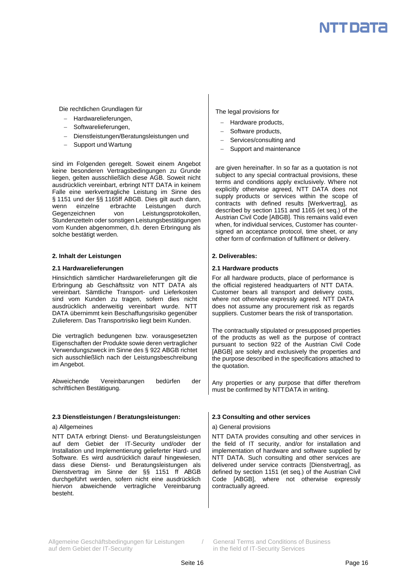Die rechtlichen Grundlagen für

- Hardwarelieferungen,
- Softwarelieferungen,
- Dienstleistungen/Beratungsleistungen und
- Support und Wartung

sind im Folgenden geregelt. Soweit einem Angebot keine besonderen Vertragsbedingungen zu Grunde liegen, gelten ausschließlich diese AGB. Soweit nicht ausdrücklich vereinbart, erbringt NTT DATA in keinem Falle eine werkvertragliche Leistung im Sinne des § 1151 und der §§ 1165ff ABGB. Dies gilt auch dann, wenn einzelne erbrachte Leistungen durch Gegenzeichnen von Leistungsprotokollen, Stundenzetteln oder sonstigen Leistungsbestätigungen vom Kunden abgenommen, d.h. deren Erbringung als solche bestätigt werden.

## **2. Inhalt der Leistungen 2. Deliverables:**

## **2.1 Hardwarelieferungen 2.1 Hardware products**

Hinsichtlich sämtlicher Hardwarelieferungen gilt die Erbringung ab Geschäftssitz von NTT DATA als vereinbart. Sämtliche Transport- und Lieferkosten sind vom Kunden zu tragen, sofern dies nicht ausdrücklich anderweitig vereinbart wurde. NTT DATA übernimmt kein Beschaffungsrisiko gegenüber Zulieferern. Das Transportrisiko liegt beim Kunden.

Die vertraglich bedungenen bzw. vorausgesetzten Eigenschaften der Produkte sowie deren vertraglicher Verwendungszweck im Sinne des § 922 ABGB richtet sich ausschließlich nach der Leistungsbeschreibung im Angebot.

Abweichende Vereinbarungen bedürfen der schriftlichen Bestätigung.

## **2.3 Dienstleistungen / Beratungsleistungen: 2.3 Consulting and other services**

NTT DATA erbringt Dienst- und Beratungsleistungen auf dem Gebiet der IT-Security und/oder der Installation und Implementierung gelieferter Hard- und Software. Es wird ausdrücklich darauf hingewiesen, dass diese Dienst- und Beratungsleistungen als Dienstvertrag im Sinne der §§ 1151 ff ABGB durchgeführt werden, sofern nicht eine ausdrücklich hiervon abweichende vertragliche Vereinbarung besteht.

The legal provisions for

- Hardware products,
- Software products,
- Services/consulting and
- Support and maintenance

are given hereinafter. In so far as a quotation is not subject to any special contractual provisions, these terms and conditions apply exclusively. Where not explicitly otherwise agreed, NTT DATA does not supply products or services within the scope of contracts with defined results [Werkvertrag], as described by section 1151 and 1165 (et seq.) of the Austrian Civil Code [ABGB]. This remains valid even when, for individual services, Customer has countersigned an acceptance protocol, time sheet, or any other form of confirmation of fulfilment or delivery.

For all hardware products, place of performance is the official registered headquarters of NTT DATA. Customer bears all transport and delivery costs, where not otherwise expressly agreed. NTT DATA does not assume any procurement risk as regards suppliers. Customer bears the risk of transportation.

The contractually stipulated or presupposed properties of the products as well as the purpose of contract pursuant to section 922 of the Austrian Civil Code [ABGB] are solely and exclusively the properties and the purpose described in the specifications attached to the quotation.

Any properties or any purpose that differ therefrom must be confirmed by NTTDATA in writing.

## a) Allgemeines a) General provisions

NTT DATA provides consulting and other services in the field of IT security, and/or for installation and implementation of hardware and software supplied by NTT DATA. Such consulting and other services are delivered under service contracts [Dienstvertrag], as defined by section 1151 (et seq.) of the Austrian Civil Code [ABGB], where not otherwise expressly contractually agreed.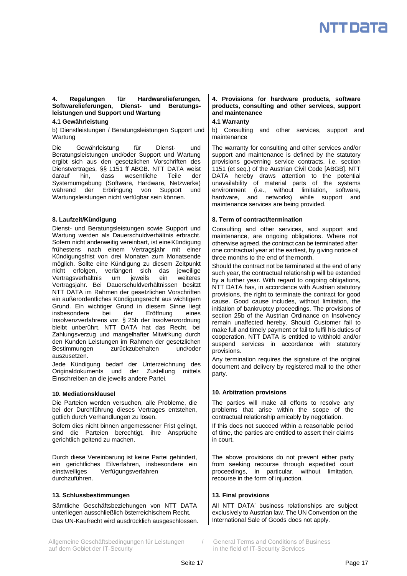## **4. Regelungen für Hardwarelieferungen, Softwarelieferungen, Dienst- und Beratungsleistungen und Support und Wartung**

## **4.1 Gewährleistung**

b) Dienstleistungen / Beratungsleistungen Support und Wartung

Die Gewährleistung für Dienst- und Beratungsleistungen und/oder Support und Wartung ergibt sich aus den gesetzlichen Vorschriften des Dienstvertrages, §§ 1151 ff ABGB. NTT DATA weist darauf hin, dass wesentliche Teile der Systemumgebung (Software, Hardware, Netzwerke) während der Erbringung von Support und Wartungsleistungen nicht verfügbar sein können.

Dienst- und Beratungsleistungen sowie Support und Wartung werden als Dauerschuldverhältnis erbracht. Sofern nicht anderweitig vereinbart, ist eineKündigung frühestens nach einem Vertragsjahr mit einer Kündigungsfrist von drei Monaten zum Monatsende möglich. Sollte eine Kündigung zu diesem Zeitpunkt nicht erfolgen, verlängert sich das jeweilige Vertragsverhältnis um jeweils ein weiteres Vertragsjahr. Bei Dauerschuldverhältnissen besitzt NTT DATA im Rahmen der gesetzlichen Vorschriften ein außerordentliches Kündigungsrecht aus wichtigem Grund. Ein wichtiger Grund in diesem Sinne liegt insbesondere bei der Eröffnung eines Insolvenzverfahrens vor. § 25b der Insolvenzordnung bleibt unberührt. NTT DATA hat das Recht, bei Zahlungsverzug und mangelhafter Mitwirkung durch den Kunden Leistungen im Rahmen der gesetzlichen Bestimmungen zurückzubehalten und/oder auszusetzen.

Jede Kündigung bedarf der Unterzeichnung des Originaldokuments und der Zustellung mittels Einschreiben an die jeweils andere Partei.

Die Parteien werden versuchen, alle Probleme, die bei der Durchführung dieses Vertrages entstehen, gütlich durch Verhandlungen zu lösen.

Sofern dies nicht binnen angemessener Frist gelingt, sind die Parteien berechtigt, ihre Ansprüche gerichtlich geltend zu machen.

Durch diese Vereinbarung ist keine Partei gehindert, ein gerichtliches Eilverfahren, insbesondere ein einstweiliges Verfügungsverfahren durchzuführen.

## **13. Schlussbestimmungen 13. Final provisions**

Sämtliche Geschäftsbeziehungen von NTT DATA unterliegen ausschließlich österreichischem Recht. Das UN-Kaufrecht wird ausdrücklich ausgeschlossen.

Allgemeine Geschäftsbedingungen für Leistungen / General Terms and Conditions of Business auf dem Gebiet der IT-Security in the field of IT-Security Services

## **4. Provisions for hardware products, software products, consulting and other services, support and maintenance**

## **4.1 Warranty**

b) Consulting and other services, support and maintenance

The warranty for consulting and other services and/or support and maintenance is defined by the statutory provisions governing service contracts, i.e. section 1151 (et seq.) of the Austrian Civil Code [ABGB]. NTT DATA hereby draws attention to the potential unavailability of material parts of the systems environment (i.e., without limitation, software, hardware, and networks) while support and maintenance services are being provided.

## **8. Laufzeit/Kündigung 8. Term of contract/termination**

Consulting and other services, and support and maintenance, are ongoing obligations. Where not otherwise agreed, the contract can be terminated after one contractual year at the earliest, by giving notice of three months to the end of the month.

Should the contract not be terminated at the end of any such year, the contractual relationship will be extended by a further year. With regard to ongoing obligations, NTT DATA has, in accordance with Austrian statutory provisions, the right to terminate the contract for good cause. Good cause includes, without limitation, the initiation of bankruptcy proceedings. The provisions of section 25b of the Austrian Ordinance on Insolvency remain unaffected hereby. Should Customer fail to make full and timely payment or fail to fulfil his duties of cooperation, NTT DATA is entitled to withhold and/or suspend services in accordance with statutory provisions.

Any termination requires the signature of the original document and delivery by registered mail to the other party.

## **10. Mediationsklausel 10. Arbitration provisions**

The parties will make all efforts to resolve any problems that arise within the scope of the contractual relationship amicably by negotiation.

If this does not succeed within a reasonable period of time, the parties are entitled to assert their claims in court.

The above provisions do not prevent either party from seeking recourse through expedited court proceedings, in particular, without limitation, recourse in the form of injunction.

All NTT DATA' business relationships are subject exclusively to Austrian law. The UN Convention on the International Sale of Goods does not apply.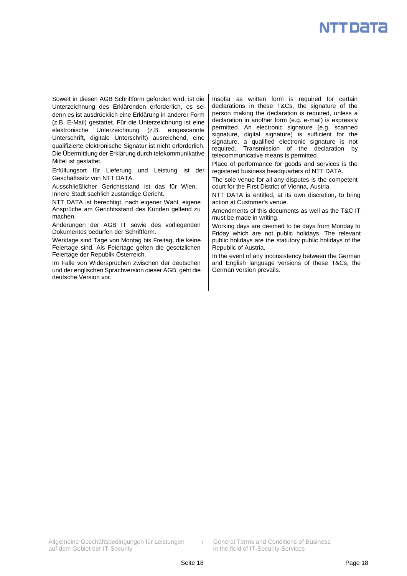Soweit in diesen AGB Schriftform gefordert wird, ist die Unterzeichnung des Erklärenden erforderlich, es sei denn es ist ausdrücklich eine Erklärung in anderer Form (z.B. E-Mail) gestattet. Für die Unterzeichnung ist eine elektronische Unterzeichnung (z.B. eingescannte Unterschrift, digitale Unterschrift) ausreichend, eine qualifizierte elektronische Signatur ist nicht erforderlich. Die Übermittlung der Erklärung durch telekommunikative Mittel ist gestattet.

Erfüllungsort für Lieferung und Leistung ist der Geschäftssitz von NTT DATA.

Ausschließlicher Gerichtsstand ist das für Wien, Innere Stadt sachlich zuständige Gericht.

NTT DATA ist berechtigt, nach eigener Wahl, eigene Ansprüche am Gerichtsstand des Kunden geltend zu machen.

Änderungen der AGB IT sowie des vorliegenden Dokumentes bedürfen der Schriftform.

Werktage sind Tage von Montag bis Freitag, die keine Feiertage sind. Als Feiertage gelten die gesetzlichen Feiertage der Republik Österreich.

Im Falle von Widersprüchen zwischen der deutschen und der englischen Sprachversion dieser AGB, geht die deutsche Version vor.

Insofar as written form is required for certain declarations in these T&Cs, the signature of the person making the declaration is required, unless a declaration in another form (e.g. e-mail) is expressly permitted. An electronic signature (e.g. scanned signature, digital signature) is sufficient for the signature, a qualified electronic signature is not required. Transmission of the declaration by telecommunicative means is permitted.

Place of performance for goods and services is the registered business headquarters of NTT DATA.

The sole venue for all any disputes is the competent court for the First District of Vienna, Austria.

NTT DATA is entitled, at its own discretion, to bring action at Customer's venue.

Amendments of this documents as well as the T&C IT must be made in writing.

Working days are deemed to be days from Monday to Friday which are not public holidays. The relevant public holidays are the statutory public holidays of the Republic of Austria.

In the event of any inconsistency between the German and English language versions of these T&Cs, the German version prevails.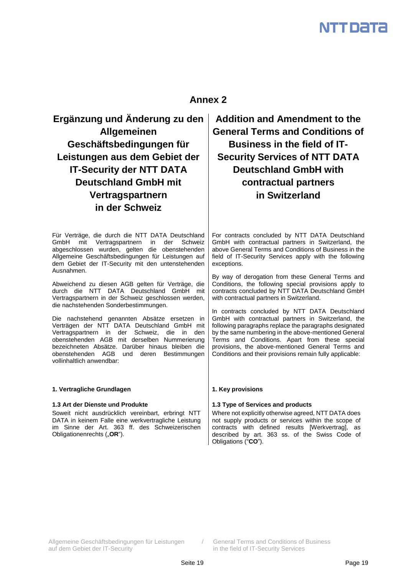## **Annex 2**

**Ergänzung und Änderung zu den Allgemeinen Geschäftsbedingungen für Leistungen aus dem Gebiet der IT-Security der NTT DATA Deutschland GmbH mit Vertragspartnern in der Schweiz**

Für Verträge, die durch die NTT DATA Deutschland GmbH mit Vertragspartnern in der Schweiz abgeschlossen wurden, gelten die obenstehenden Allgemeine Geschäftsbedingungen für Leistungen auf dem Gebiet der IT-Security mit den untenstehenden Ausnahmen.

Abweichend zu diesen AGB gelten für Verträge, die durch die NTT DATA Deutschland GmbH mit Vertragspartnern in der Schweiz geschlossen werden, die nachstehenden Sonderbestimmungen.

Die nachstehend genannten Absätze ersetzen in Verträgen der NTT DATA Deutschland GmbH mit Vertragspartnern in der Schweiz, die in den obenstehenden AGB mit derselben Nummerierung bezeichneten Absätze. Darüber hinaus bleiben die obenstehenden AGB und deren Bestimmungen vollinhaltlich anwendbar:

## **1. Vertragliche Grundlagen 1. Key provisions**

Soweit nicht ausdrücklich vereinbart, erbringt NTT DATA in keinem Falle eine werkvertragliche Leistung im Sinne der Art. 363 ff. des Schweizerischen Obligationenrechts ("OR").

**Addition and Amendment to the General Terms and Conditions of Business in the field of IT-Security Services of NTT DATA Deutschland GmbH with contractual partners in Switzerland**

For contracts concluded by NTT DATA Deutschland GmbH with contractual partners in Switzerland, the above General Terms and Conditions of Business in the field of IT-Security Services apply with the following exceptions.

By way of derogation from these General Terms and Conditions, the following special provisions apply to contracts concluded by NTT DATA Deutschland GmbH with contractual partners in Switzerland.

In contracts concluded by NTT DATA Deutschland GmbH with contractual partners in Switzerland, the following paragraphs replace the paragraphs designated by the same numbering in the above-mentioned General Terms and Conditions. Apart from these special provisions, the above-mentioned General Terms and Conditions and their provisions remain fully applicable:

## **1.3 Art der Dienste und Produkte 1.3 Type of Services and products**

Where not explicitly otherwise agreed, NTT DATA does not supply products or services within the scope of contracts with defined results [Werkvertrag], as described by art. 363 ss. of the Swiss Code of Obligations ("**CO**").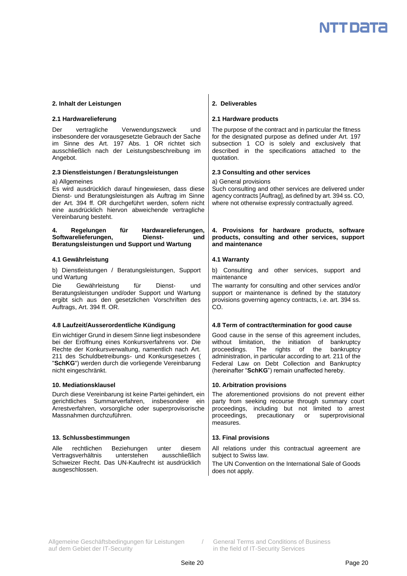## **2. Inhalt der Leistungen 2. Deliverables**

Der vertragliche Verwendungszweck und insbesondere der vorausgesetzte Gebrauch der Sache im Sinne des Art. 197 Abs. 1 OR richtet sich ausschließlich nach der Leistungsbeschreibung im Angebot.

## **2.3 Dienstleistungen / Beratungsleistungen 2.3 Consulting and other services**

a) Allgemeines

Es wird ausdrücklich darauf hingewiesen, dass diese Dienst- und Beratungsleistungen als Auftrag im Sinne der Art. 394 ff. OR durchgeführt werden, sofern nicht eine ausdrücklich hiervon abweichende vertragliche Vereinbarung besteht.

## **4. Regelungen für Hardwarelieferungen, Softwarelieferungen, Dienst- und Beratungsleistungen und Support und Wartung**

## **4.1 Gewährleistung 4.1 Warranty**

b) Dienstleistungen / Beratungsleistungen, Support und Wartung

Die Gewährleistung für Dienst- und Beratungsleistungen und/oder Support und Wartung ergibt sich aus den gesetzlichen Vorschriften des Auftrags, Art. 394 ff. OR.

Ein wichtiger Grund in diesem Sinne liegt insbesondere bei der Eröffnung eines Konkursverfahrens vor. Die Rechte der Konkursverwaltung, namentlich nach Art. 211 des Schuldbetreibungs- und Konkursgesetzes ( "**SchKG**") werden durch die vorliegende Vereinbarung nicht eingeschränkt.

Durch diese Vereinbarung ist keine Partei gehindert, ein gerichtliches Summarverfahren, insbesondere ein Arrestverfahren, vorsorgliche oder superprovisorische Massnahmen durchzuführen.

## **13. Schlussbestimmungen 13. Final provisions**

Alle rechtlichen Beziehungen unter diesem Vertragsverhältnis unterstehen ausschließlich Schweizer Recht. Das UN-Kaufrecht ist ausdrücklich ausgeschlossen.

## **2.1 Hardwarelieferung 2.1 Hardware products**

The purpose of the contract and in particular the fitness for the designated purpose as defined under Art. 197 subsection 1 CO is solely and exclusively that described in the specifications attached to the quotation.

a) General provisions

Such consulting and other services are delivered under agency contracts [Auftrag], as defined by art. 394 ss. CO, where not otherwise expressly contractually agreed.

## **4. Provisions for hardware products, software products, consulting and other services, support and maintenance**

b) Consulting and other services, support and maintenance

The warranty for consulting and other services and/or support or maintenance is defined by the statutory provisions governing agency contracts, i.e. art. 394 ss. CO.

## **4.8 Laufzeit/Ausserordentliche Kündigung 4.8 Term of contract/termination for good cause**

Good cause in the sense of this agreement includes, without limitation, the initiation of bankruptcy proceedings. The rights of the bankruptcy administration, in particular according to art. 211 of the Federal Law on Debt Collection and Bankruptcy (hereinafter "**SchKG**") remain unaffected hereby.

## **10. Mediationsklausel 10. Arbitration provisions**

The aforementioned provisions do not prevent either party from seeking recourse through summary court proceedings, including but not limited to arrest proceedings, precautionary or superprovisional measures.

All relations under this contractual agreement are subject to Swiss law.

The UN Convention on the International Sale of Goods does not apply.